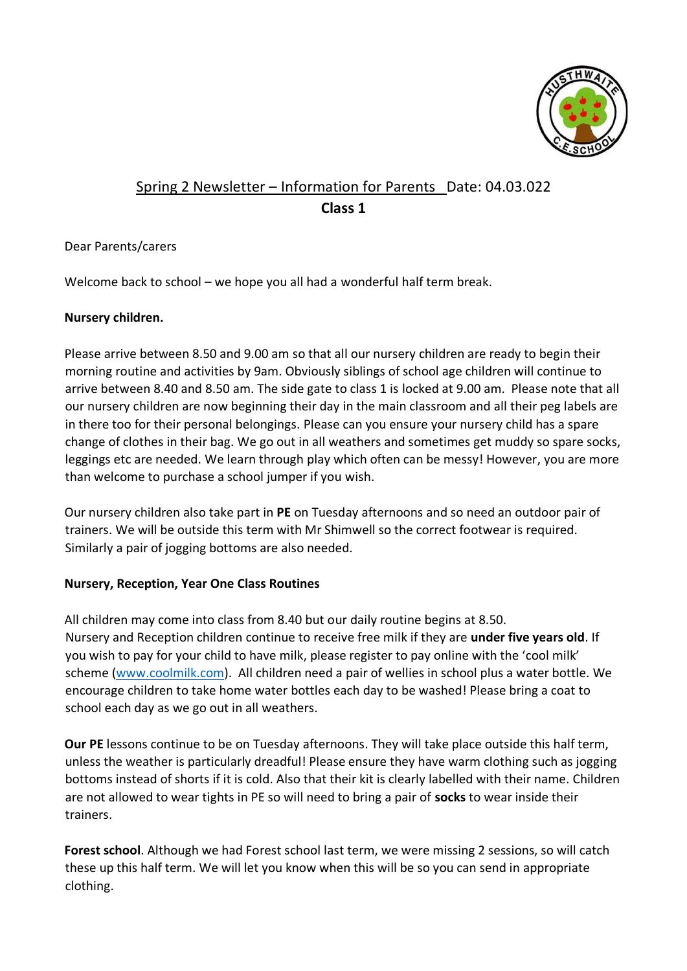

# Spring 2 Newsletter – Information for Parents Date: 04.03.022 **Class 1**

## Dear Parents/carers

Welcome back to school – we hope you all had a wonderful half term break.

#### **Nursery children.**

Please arrive between 8.50 and 9.00 am so that all our nursery children are ready to begin their morning routine and activities by 9am. Obviously siblings of school age children will continue to arrive between 8.40 and 8.50 am. The side gate to class 1 is locked at 9.00 am. Please note that all our nursery children are now beginning their day in the main classroom and all their peg labels are in there too for their personal belongings. Please can you ensure your nursery child has a spare change of clothes in their bag. We go out in all weathers and sometimes get muddy so spare socks, leggings etc are needed. We learn through play which often can be messy! However, you are more than welcome to purchase a school jumper if you wish.

Our nursery children also take part in **PE** on Tuesday afternoons and so need an outdoor pair of trainers. We will be outside this term with Mr Shimwell so the correct footwear is required. Similarly a pair of jogging bottoms are also needed.

#### **Nursery, Reception, Year One Class Routines**

All children may come into class from 8.40 but our daily routine begins at 8.50. Nursery and Reception children continue to receive free milk if they are **under five years old**. If you wish to pay for your child to have milk, please register to pay online with the 'cool milk' scheme [\(www.coolmilk.com\).](http://www.coolmilk.com/) All children need a pair of wellies in school plus a water bottle. We encourage children to take home water bottles each day to be washed! Please bring a coat to school each day as we go out in all weathers.

**Our PE** lessons continue to be on Tuesday afternoons. They will take place outside this half term, unless the weather is particularly dreadful! Please ensure they have warm clothing such as jogging bottoms instead of shorts if it is cold. Also that their kit is clearly labelled with their name. Children are not allowed to wear tights in PE so will need to bring a pair of **socks** to wear inside their trainers.

**Forest school**. Although we had Forest school last term, we were missing 2 sessions, so will catch these up this half term. We will let you know when this will be so you can send in appropriate clothing.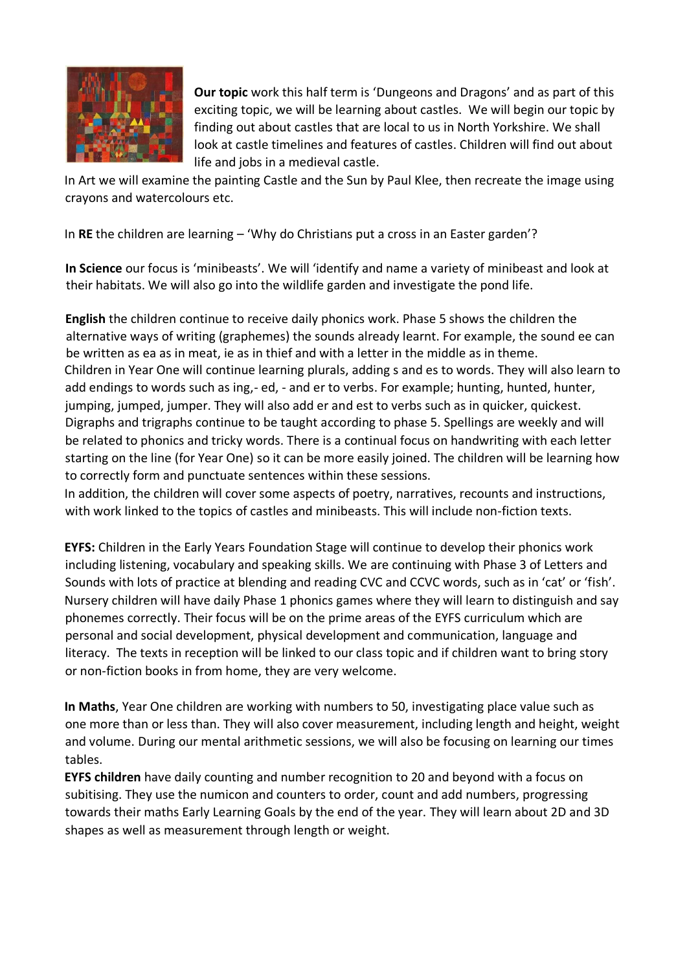

**Our topic** work this half term is 'Dungeons and Dragons' and as part of this exciting topic, we will be learning about castles. We will begin our topic by finding out about castles that are local to us in North Yorkshire. We shall look at castle timelines and features of castles. Children will find out about life and jobs in a medieval castle.

In Art we will examine the painting Castle and the Sun by Paul Klee, then recreate the image using crayons and watercolours etc.

In **RE** the children are learning – 'Why do Christians put a cross in an Easter garden'?

**In Science** our focus is 'minibeasts'. We will 'identify and name a variety of minibeast and look at their habitats. We will also go into the wildlife garden and investigate the pond life.

**English** the children continue to receive daily phonics work. Phase 5 shows the children the alternative ways of writing (graphemes) the sounds already learnt. For example, the sound ee can be written as ea as in meat, ie as in thief and with a letter in the middle as in theme. Children in Year One will continue learning plurals, adding s and es to words. They will also learn to add endings to words such as ing,- ed, - and er to verbs. For example; hunting, hunted, hunter, jumping, jumped, jumper. They will also add er and est to verbs such as in quicker, quickest. Digraphs and trigraphs continue to be taught according to phase 5. Spellings are weekly and will be related to phonics and tricky words. There is a continual focus on handwriting with each letter starting on the line (for Year One) so it can be more easily joined. The children will be learning how to correctly form and punctuate sentences within these sessions.

In addition, the children will cover some aspects of poetry, narratives, recounts and instructions, with work linked to the topics of castles and minibeasts. This will include non-fiction texts.

**EYFS:** Children in the Early Years Foundation Stage will continue to develop their phonics work including listening, vocabulary and speaking skills. We are continuing with Phase 3 of Letters and Sounds with lots of practice at blending and reading CVC and CCVC words, such as in 'cat' or 'fish'. Nursery children will have daily Phase 1 phonics games where they will learn to distinguish and say phonemes correctly. Their focus will be on the prime areas of the EYFS curriculum which are personal and social development, physical development and communication, language and literacy. The texts in reception will be linked to our class topic and if children want to bring story or non-fiction books in from home, they are very welcome.

**In Maths**, Year One children are working with numbers to 50, investigating place value such as one more than or less than. They will also cover measurement, including length and height, weight and volume. During our mental arithmetic sessions, we will also be focusing on learning our times tables.

**EYFS children** have daily counting and number recognition to 20 and beyond with a focus on subitising. They use the numicon and counters to order, count and add numbers, progressing towards their maths Early Learning Goals by the end of the year. They will learn about 2D and 3D shapes as well as measurement through length or weight.